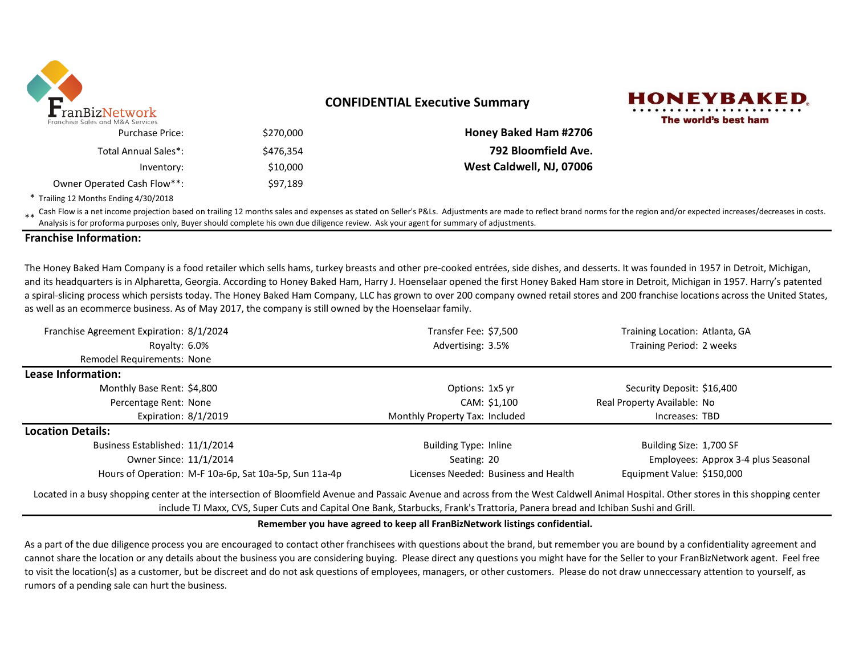

## **CONFIDENTIAL Executive Summary**



|                              |           | ranchise Sales and M&A Services |
|------------------------------|-----------|---------------------------------|
| <b>Honey Baked Ham #2706</b> | \$270,000 | <b>Purchase Price:</b>          |
| 792 Bloomfield Ave.          | \$476.354 | Total Annual Sales*:            |
| West Caldwell, NJ, 07006     | \$10,000  | Inventory:                      |
|                              | \$97,189  | Owner Operated Cash Flow**:     |

\* Trailing 12 Months Ending 4/30/2018

\*\* Cash Flow is a net income projection based on trailing 12 months sales and expenses as stated on Seller's P&Ls. Adjustments are made to reflect brand norms for the region and/or expected increases/decreases in costs. Analysis is for proforma purposes only, Buyer should complete his own due diligence review. Ask your agent for summary of adjustments.

### **Franchise Information:**

The Honey Baked Ham Company is a food retailer which sells hams, turkey breasts and other pre-cooked entrées, side dishes, and desserts. It was founded in 1957 in Detroit, Michigan, and its headquarters is in Alpharetta, Georgia. According to Honey Baked Ham, Harry J. Hoenselaar opened the first Honey Baked Ham store in Detroit, Michigan in 1957. Harry's patented a spiral-slicing process which persists today. The Honey Baked Ham Company, LLC has grown to over 200 company owned retail stores and 200 franchise locations across the United States, as well as an ecommerce business. As of May 2017, the company is still owned by the Hoenselaar family.

| Franchise Agreement Expiration: 8/1/2024                                                                                                                                              | Transfer Fee: \$7,500                | Training Location: Atlanta, GA      |
|---------------------------------------------------------------------------------------------------------------------------------------------------------------------------------------|--------------------------------------|-------------------------------------|
| Royalty: 6.0%                                                                                                                                                                         | Advertising: 3.5%                    | Training Period: 2 weeks            |
| <b>Remodel Requirements: None</b>                                                                                                                                                     |                                      |                                     |
| Lease Information:                                                                                                                                                                    |                                      |                                     |
| Monthly Base Rent: \$4,800                                                                                                                                                            | Options: 1x5 yr                      | Security Deposit: \$16,400          |
| Percentage Rent: None                                                                                                                                                                 | CAM: \$1.100                         | Real Property Available: No         |
| Expiration: $8/1/2019$                                                                                                                                                                | Monthly Property Tax: Included       | Increases: TBD                      |
| <b>Location Details:</b>                                                                                                                                                              |                                      |                                     |
| Business Established: 11/1/2014                                                                                                                                                       | <b>Building Type: Inline</b>         | Building Size: 1,700 SF             |
| Owner Since: 11/1/2014                                                                                                                                                                | Seating: 20                          | Employees: Approx 3-4 plus Seasonal |
| Hours of Operation: M-F 10a-6p, Sat 10a-5p, Sun 11a-4p                                                                                                                                | Licenses Needed: Business and Health | Equipment Value: \$150,000          |
| Located in a busy shopping center at the intersection of Bloomfield Avenue and Passaic Avenue and across from the West Caldwell Animal Hospital. Other stores in this shopping center |                                      |                                     |

include TJ Maxx, CVS, Super Cuts and Capital One Bank, Starbucks, Frank's Trattoria, Panera bread and Ichiban Sushi and Grill.

#### **Remember you have agreed to keep all FranBizNetwork listings confidential.**

As a part of the due diligence process you are encouraged to contact other franchisees with questions about the brand, but remember you are bound by a confidentiality agreement and cannot share the location or any details about the business you are considering buying. Please direct any questions you might have for the Seller to your FranBizNetwork agent. Feel free to visit the location(s) as a customer, but be discreet and do not ask questions of employees, managers, or other customers. Please do not draw unneccessary attention to yourself, as rumors of a pending sale can hurt the business.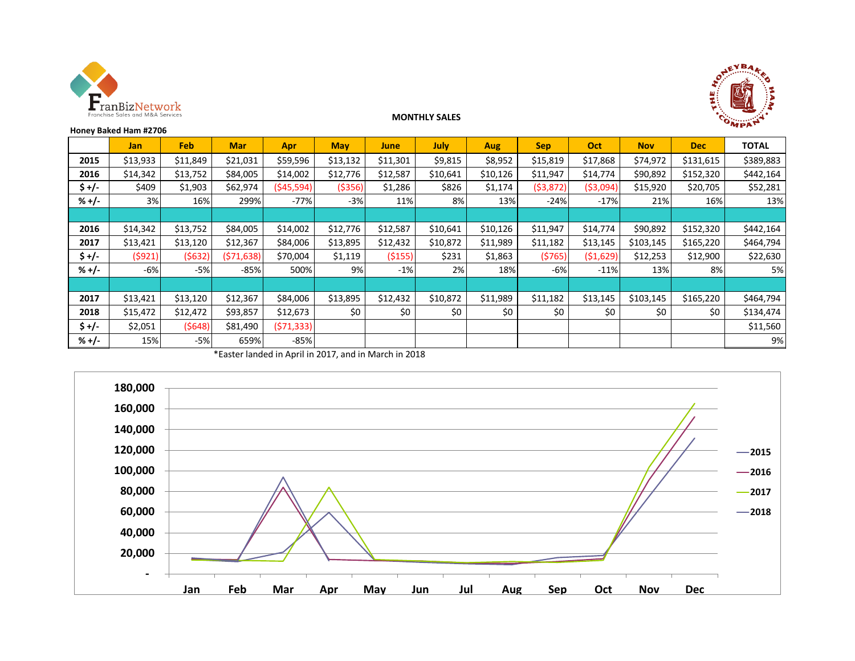



## **MONTHLY SALES**

|         | Honey Baked Ham #2706 |            |            |             |            |          |          |          |            |            |            |            | $n_{\rm F}$  |
|---------|-----------------------|------------|------------|-------------|------------|----------|----------|----------|------------|------------|------------|------------|--------------|
|         | <b>Jan</b>            | <b>Feb</b> | <b>Mar</b> | <b>Apr</b>  | <b>May</b> | June     | July     | Aug      | <b>Sep</b> | Oct        | <b>Nov</b> | <b>Dec</b> | <b>TOTAL</b> |
| 2015    | \$13,933              | \$11,849   | \$21,031   | \$59,596    | \$13,132   | \$11,301 | \$9,815  | \$8,952  | \$15,819   | \$17,868   | \$74,972   | \$131,615  | \$389,883    |
| 2016    | \$14,342              | \$13,752   | \$84,005   | \$14,002    | \$12,776   | \$12,587 | \$10,641 | \$10,126 | \$11,947   | \$14,774   | \$90,892   | \$152,320  | \$442,164    |
| \$ +/-  | \$409                 | \$1,903    | \$62,974   | ( \$45,594) | ( \$356)   | \$1,286  | \$826    | \$1,174  | (53, 872)  | ( \$3,094] | \$15,920   | \$20,705   | \$52,281     |
| $% +/-$ | 3%                    | 16%        | 299%       | $-77%$      | $-3%$      | 11%      | 8%       | 13%      | $-24%$     | $-17%$     | 21%        | 16%        | 13%          |
|         |                       |            |            |             |            |          |          |          |            |            |            |            |              |
| 2016    | \$14,342              | \$13,752   | \$84,005   | \$14,002    | \$12,776   | \$12,587 | \$10,641 | \$10,126 | \$11,947   | \$14,774   | \$90,892   | \$152,320  | \$442,164    |
| 2017    | \$13,421              | \$13,120   | \$12,367   | \$84,006    | \$13,895   | \$12,432 | \$10,872 | \$11,989 | \$11,182   | \$13,145   | \$103,145  | \$165,220  | \$464,794    |
| \$+/-   | (5921)                | (5632)     | (571, 638) | \$70,004    | \$1,119    | (5155)   | \$231    | \$1,863  | (5765)     | ( \$1,629) | \$12,253   | \$12,900   | \$22,630     |
| $% +/-$ | $-6%$                 | $-5%$      | $-85%$     | 500%        | 9%         | $-1%$    | 2%       | 18%      | $-6%$      | $-11%$     | 13%        | 8%         | 5%           |
|         |                       |            |            |             |            |          |          |          |            |            |            |            |              |
| 2017    | \$13,421              | \$13,120   | \$12,367   | \$84,006    | \$13,895   | \$12,432 | \$10,872 | \$11,989 | \$11,182   | \$13,145   | \$103,145  | \$165,220  | \$464,794    |
| 2018    | \$15,472              | \$12,472   | \$93,857   | \$12,673    | \$0        | \$0      | \$0      | \$0      | \$0        | \$0        | \$0        | \$0        | \$134,474    |
| \$+/-   | \$2,051               | (5648)     | \$81,490   | (571, 333)  |            |          |          |          |            |            |            |            | \$11,560     |
| $% +/-$ | 15%                   | $-5%$      | 659%       | $-85%$      |            |          |          |          |            |            |            |            | 9%           |

\*Easter landed in April in 2017, and in March in 2018